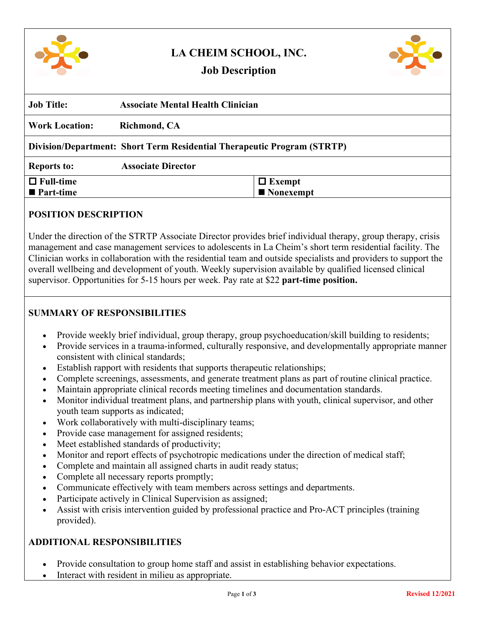

# **LA CHEIM SCHOOL, INC.**



## **Job Description**

| <b>Associate Mental Health Clinician</b>                                |               |
|-------------------------------------------------------------------------|---------------|
| Richmond, CA                                                            |               |
| Division/Department: Short Term Residential Therapeutic Program (STRTP) |               |
| <b>Associate Director</b>                                               |               |
|                                                                         | $\Box$ Exempt |
|                                                                         | ■ Nonexempt   |
|                                                                         |               |

### **POSITION DESCRIPTION**

Under the direction of the STRTP Associate Director provides brief individual therapy, group therapy, crisis management and case management services to adolescents in La Cheim's short term residential facility. The Clinician works in collaboration with the residential team and outside specialists and providers to support the overall wellbeing and development of youth. Weekly supervision available by qualified licensed clinical supervisor. Opportunities for 5-15 hours per week. Pay rate at \$22 **part-time position.**

## **SUMMARY OF RESPONSIBILITIES**

- Provide weekly brief individual, group therapy, group psychoeducation/skill building to residents;
- Provide services in a trauma-informed, culturally responsive, and developmentally appropriate manner consistent with clinical standards;
- Establish rapport with residents that supports therapeutic relationships;
- Complete screenings, assessments, and generate treatment plans as part of routine clinical practice.
- Maintain appropriate clinical records meeting timelines and documentation standards.
- Monitor individual treatment plans, and partnership plans with youth, clinical supervisor, and other youth team supports as indicated;
- Work collaboratively with multi-disciplinary teams;
- Provide case management for assigned residents;
- Meet established standards of productivity;
- Monitor and report effects of psychotropic medications under the direction of medical staff;
- Complete and maintain all assigned charts in audit ready status;
- Complete all necessary reports promptly;
- Communicate effectively with team members across settings and departments.
- Participate actively in Clinical Supervision as assigned;
- Assist with crisis intervention guided by professional practice and Pro-ACT principles (training provided).

# **ADDITIONAL RESPONSIBILITIES**

- Provide consultation to group home staff and assist in establishing behavior expectations.
- Interact with resident in milieu as appropriate.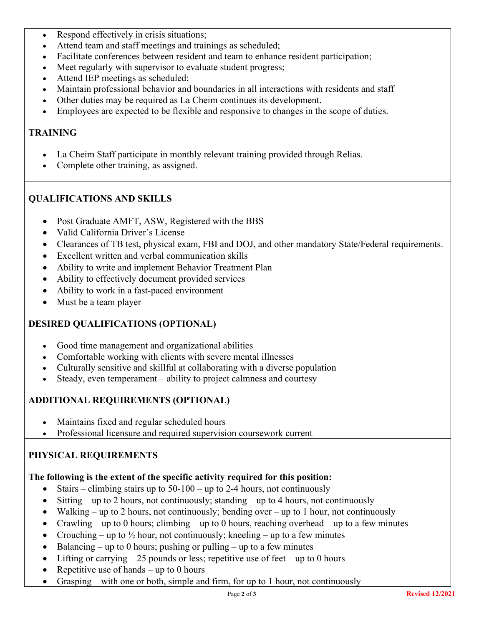- Respond effectively in crisis situations;
- Attend team and staff meetings and trainings as scheduled;
- Facilitate conferences between resident and team to enhance resident participation;
- Meet regularly with supervisor to evaluate student progress;
- Attend IEP meetings as scheduled;
- Maintain professional behavior and boundaries in all interactions with residents and staff
- Other duties may be required as La Cheim continues its development.
- Employees are expected to be flexible and responsive to changes in the scope of duties.

### **TRAINING**

- La Cheim Staff participate in monthly relevant training provided through Relias.
- Complete other training, as assigned.

## **QUALIFICATIONS AND SKILLS**

- Post Graduate AMFT, ASW, Registered with the BBS
- Valid California Driver's License
- Clearances of TB test, physical exam, FBI and DOJ, and other mandatory State/Federal requirements.
- Excellent written and verbal communication skills
- Ability to write and implement Behavior Treatment Plan
- Ability to effectively document provided services
- Ability to work in a fast-paced environment
- Must be a team player

### **DESIRED QUALIFICATIONS (OPTIONAL)**

- Good time management and organizational abilities
- Comfortable working with clients with severe mental illnesses
- Culturally sensitive and skillful at collaborating with a diverse population
- Steady, even temperament ability to project calmness and courtesy

## **ADDITIONAL REQUIREMENTS (OPTIONAL)**

- Maintains fixed and regular scheduled hours
- Professional licensure and required supervision coursework current

### **PHYSICAL REQUIREMENTS**

#### **The following is the extent of the specific activity required for this position:**

- Stairs climbing stairs up to  $50-100$  up to 2-4 hours, not continuously
- Sitting up to 2 hours, not continuously; standing up to 4 hours, not continuously
- Walking up to 2 hours, not continuously; bending over up to 1 hour, not continuously
- Crawling up to 0 hours; climbing up to 0 hours, reaching overhead up to a few minutes
- Crouching up to  $\frac{1}{2}$  hour, not continuously; kneeling up to a few minutes
- Balancing up to 0 hours; pushing or pulling up to a few minutes
- Lifting or carrying  $-25$  pounds or less; repetitive use of feet up to 0 hours
- Repetitive use of hands  $-$  up to 0 hours
- Grasping with one or both, simple and firm, for up to 1 hour, not continuously